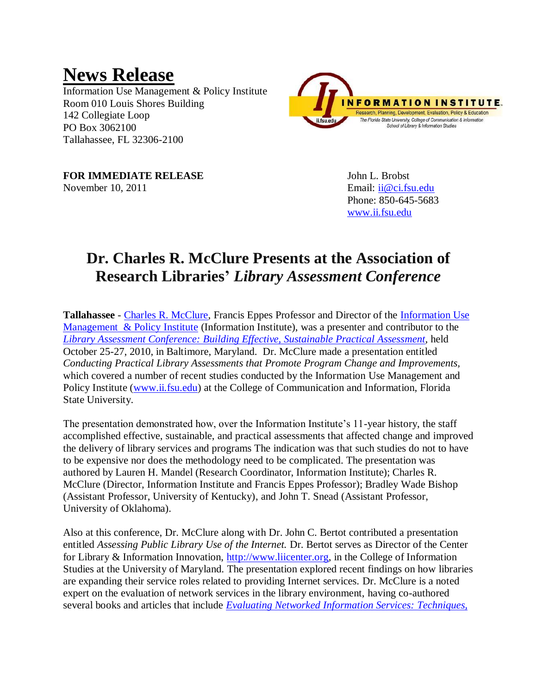## **News Release**

Information Use Management & Policy Institute Room 010 Louis Shores Building 142 Collegiate Loop PO Box 3062100 Tallahassee, FL 32306-2100



**FOR IMMEDIATE RELEASE** John L. Brobst November 10, 2011 **Email:** ii @ci.fsu.edu

Phone: 850-645-5683 [www.ii.fsu.edu](file:///C:/Documents%20and%20Settings/JLB07AA/My%20Documents/Downloads/www.ii.fsu.edu)

## **Dr. Charles R. McClure Presents at the Association of Research Libraries'** *Library Assessment Conference*

**Tallahassee** - [Charles R. McClure,](http://www.ii.fsu.edu/content/view/full/18480) Francis Eppes Professor and Director of the [Information Use](http://www.ii.fsu.edu/)  [Management & Policy Institute](http://www.ii.fsu.edu/) (Information Institute), was a presenter and contributor to the *[Library Assessment Conference: Building Effective, Sustainable Practical Assessment,](http://libraryassessment.org/schedule/index.shtml)* held October 25-27, 2010, in Baltimore, Maryland. Dr. McClure made a presentation entitled *Conducting Practical Library Assessments that Promote Program Change and Improvements,*  which covered a number of recent studies conducted by the Information Use Management and Policy Institute [\(www.ii.fsu.edu\)](http://www.ii.fsu.edu/) at the College of Communication and Information, Florida State University.

The presentation demonstrated how, over the Information Institute's 11-year history, the staff accomplished effective, sustainable, and practical assessments that affected change and improved the delivery of library services and programs The indication was that such studies do not to have to be expensive nor does the methodology need to be complicated. The presentation was authored by Lauren H. Mandel (Research Coordinator, Information Institute); Charles R. McClure (Director, Information Institute and Francis Eppes Professor); Bradley Wade Bishop (Assistant Professor, University of Kentucky), and John T. Snead (Assistant Professor, University of Oklahoma).

Also at this conference, Dr. McClure along with Dr. John C. Bertot contributed a presentation entitled *Assessing Public Library Use of the Internet.* Dr. Bertot serves as Director of the Center for Library & Information Innovation, [http://www.liicenter.org,](http://www.liicenter.org/) in the College of Information Studies at the University of Maryland. The presentation explored recent findings on how libraries are expanding their service roles related to providing Internet services. Dr. McClure is a noted expert on the evaluation of network services in the library environment, having co-authored several books and articles that include *[Evaluating Networked Information Services:](http://www.amazon.com/Evaluating-Networked-Information-Services-Techniques/dp/1573871184/ref=sr_1_1?ie=UTF8&s=books&qid=1289397880&sr=1-1) Techniques,*